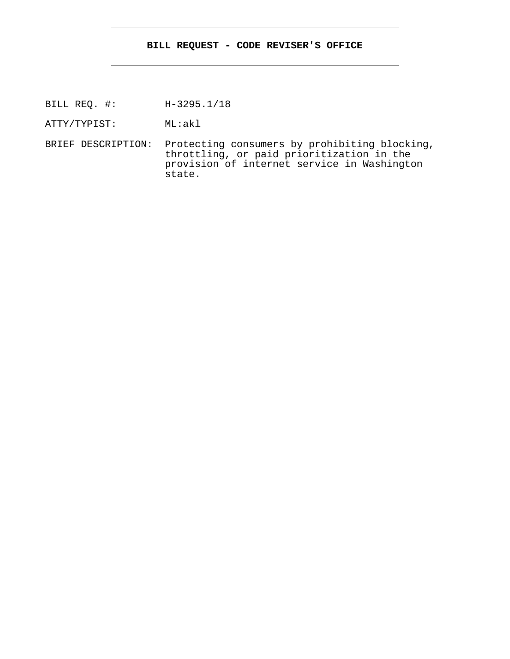## **BILL REQUEST - CODE REVISER'S OFFICE**

- BILL REQ. #: H-3295.1/18
- ATTY/TYPIST: ML:akl
- BRIEF DESCRIPTION: Protecting consumers by prohibiting blocking, throttling, or paid prioritization in the provision of internet service in Washington state.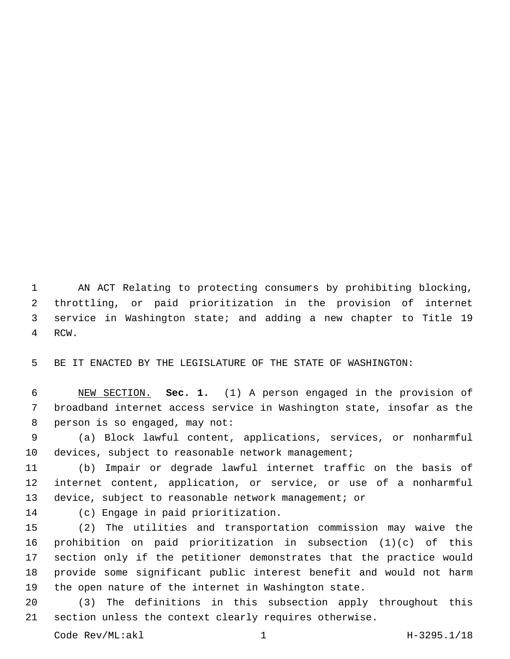AN ACT Relating to protecting consumers by prohibiting blocking, throttling, or paid prioritization in the provision of internet service in Washington state; and adding a new chapter to Title 19 4 RCW.

BE IT ENACTED BY THE LEGISLATURE OF THE STATE OF WASHINGTON:

 NEW SECTION. **Sec. 1.** (1) A person engaged in the provision of broadband internet access service in Washington state, insofar as the person is so engaged, may not:

 (a) Block lawful content, applications, services, or nonharmful 10 devices, subject to reasonable network management;

 (b) Impair or degrade lawful internet traffic on the basis of internet content, application, or service, or use of a nonharmful device, subject to reasonable network management; or

14 (c) Engage in paid prioritization.

 (2) The utilities and transportation commission may waive the prohibition on paid prioritization in subsection (1)(c) of this section only if the petitioner demonstrates that the practice would provide some significant public interest benefit and would not harm the open nature of the internet in Washington state.

 (3) The definitions in this subsection apply throughout this section unless the context clearly requires otherwise.

Code Rev/ML:akl 1 H-3295.1/18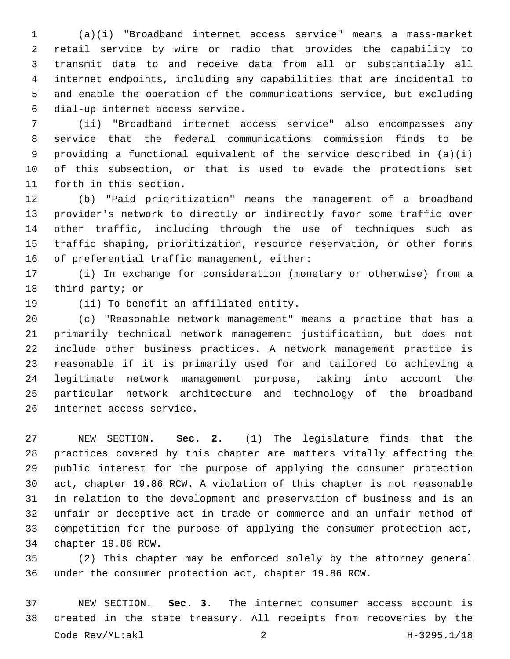(a)(i) "Broadband internet access service" means a mass-market retail service by wire or radio that provides the capability to transmit data to and receive data from all or substantially all internet endpoints, including any capabilities that are incidental to and enable the operation of the communications service, but excluding 6 dial-up internet access service.

 (ii) "Broadband internet access service" also encompasses any service that the federal communications commission finds to be providing a functional equivalent of the service described in (a)(i) of this subsection, or that is used to evade the protections set 11 forth in this section.

 (b) "Paid prioritization" means the management of a broadband provider's network to directly or indirectly favor some traffic over other traffic, including through the use of techniques such as traffic shaping, prioritization, resource reservation, or other forms 16 of preferential traffic management, either:

 (i) In exchange for consideration (monetary or otherwise) from a 18 third party; or

19 (ii) To benefit an affiliated entity.

 (c) "Reasonable network management" means a practice that has a primarily technical network management justification, but does not include other business practices. A network management practice is reasonable if it is primarily used for and tailored to achieving a legitimate network management purpose, taking into account the particular network architecture and technology of the broadband 26 internet access service.

 NEW SECTION. **Sec. 2.** (1) The legislature finds that the practices covered by this chapter are matters vitally affecting the public interest for the purpose of applying the consumer protection act, chapter 19.86 RCW. A violation of this chapter is not reasonable in relation to the development and preservation of business and is an unfair or deceptive act in trade or commerce and an unfair method of competition for the purpose of applying the consumer protection act, chapter 19.86 RCW.

 (2) This chapter may be enforced solely by the attorney general under the consumer protection act, chapter 19.86 RCW.

 NEW SECTION. **Sec. 3.** The internet consumer access account is created in the state treasury. All receipts from recoveries by the Code Rev/ML:akl 2 H-3295.1/18